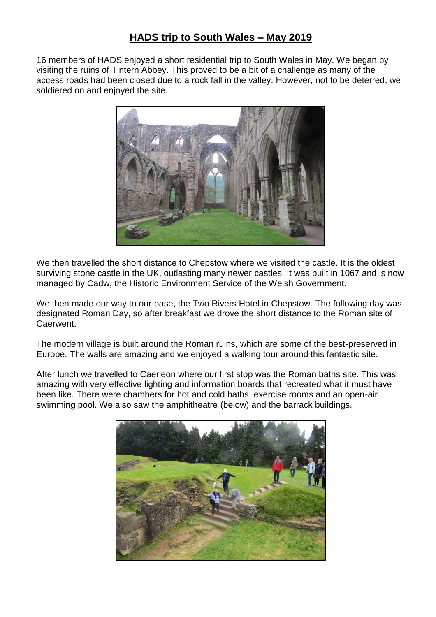## **HADS trip to South Wales – May 2019**

16 members of HADS enjoyed a short residential trip to South Wales in May. We began by visiting the ruins of Tintern Abbey. This proved to be a bit of a challenge as many of the access roads had been closed due to a rock fall in the valley. However, not to be deterred, we soldiered on and enjoyed the site.



We then travelled the short distance to Chepstow where we visited the castle. It is the oldest surviving stone castle in the UK, outlasting many newer castles. It was built in 1067 and is now managed by Cadw, the Historic Environment Service of the Welsh Government.

We then made our way to our base, the Two Rivers Hotel in Chepstow. The following day was designated Roman Day, so after breakfast we drove the short distance to the Roman site of Caerwent.

The modern village is built around the Roman ruins, which are some of the best-preserved in Europe. The walls are amazing and we enjoyed a walking tour around this fantastic site.

After lunch we travelled to Caerleon where our first stop was the Roman baths site. This was amazing with very effective lighting and information boards that recreated what it must have been like. There were chambers for hot and cold baths, exercise rooms and an open-air swimming pool. We also saw the amphitheatre (below) and the barrack buildings.